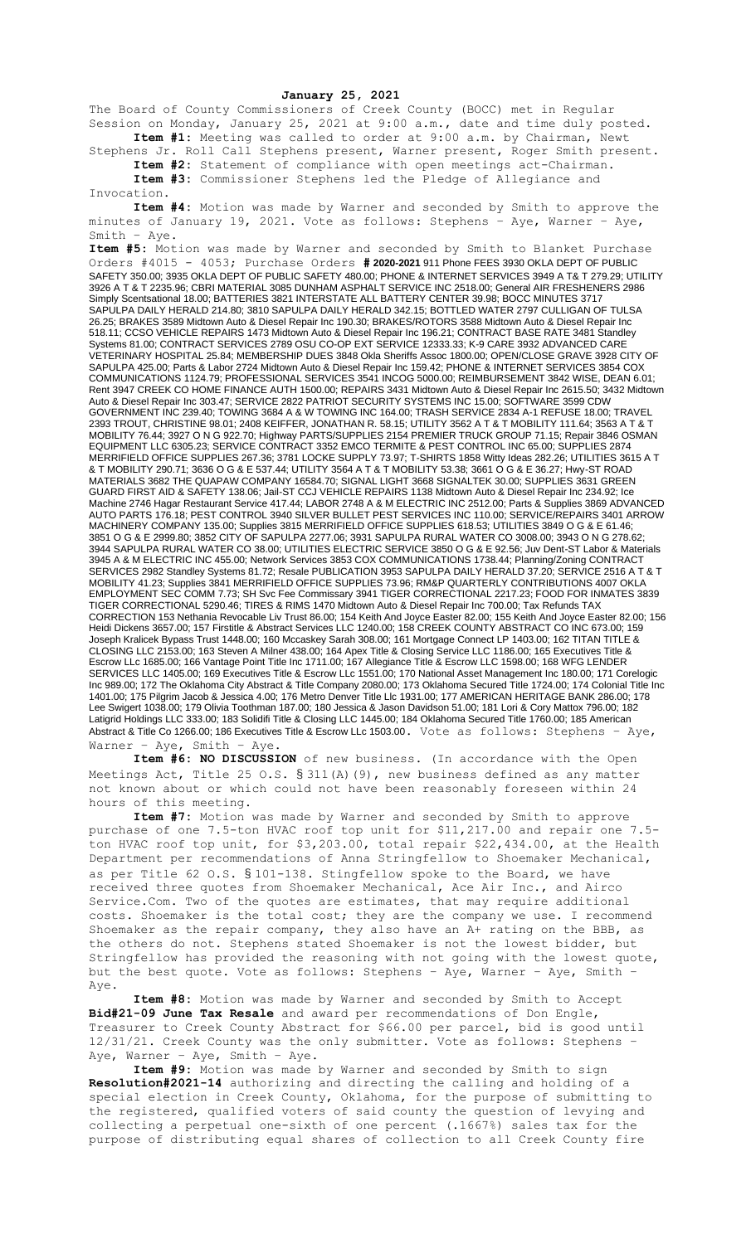## **January 25, 2021**

The Board of County Commissioners of Creek County (BOCC) met in Regular Session on Monday, January 25, 2021 at 9:00 a.m., date and time duly posted. **Item #1:** Meeting was called to order at 9:00 a.m. by Chairman, Newt

Stephens Jr. Roll Call Stephens present, Warner present, Roger Smith present. **Item #2:** Statement of compliance with open meetings act-Chairman.

**Item #3:** Commissioner Stephens led the Pledge of Allegiance and Invocation.

**Item #4:** Motion was made by Warner and seconded by Smith to approve the minutes of January 19, 2021. Vote as follows: Stephens – Aye, Warner – Aye, Smith – Aye.

**Item #5:** Motion was made by Warner and seconded by Smith to Blanket Purchase Orders #4015 - 4053; Purchase Orders **# 2020-2021** 911 Phone FEES 3930 OKLA DEPT OF PUBLIC SAFETY 350.00; 3935 OKLA DEPT OF PUBLIC SAFETY 480.00; PHONE & INTERNET SERVICES 3949 A T& T 279.29; UTILITY 3926 A T & T 2235.96; CBRI MATERIAL 3085 DUNHAM ASPHALT SERVICE INC 2518.00; General AIR FRESHENERS 2986 Simply Scentsational 18.00; BATTERIES 3821 INTERSTATE ALL BATTERY CENTER 39.98; BOCC MINUTES 3717 SAPULPA DAILY HERALD 214.80; 3810 SAPULPA DAILY HERALD 342.15; BOTTLED WATER 2797 CULLIGAN OF TULSA 26.25; BRAKES 3589 Midtown Auto & Diesel Repair Inc 190.30; BRAKES/ROTORS 3588 Midtown Auto & Diesel Repair Inc 518.11; CCSO VEHICLE REPAIRS 1473 Midtown Auto & Diesel Repair Inc 196.21; CONTRACT BASE RATE 3481 Standley Systems 81.00; CONTRACT SERVICES 2789 OSU CO-OP EXT SERVICE 12333.33; K-9 CARE 3932 ADVANCED CARE VETERINARY HOSPITAL 25.84; MEMBERSHIP DUES 3848 Okla Sheriffs Assoc 1800.00; OPEN/CLOSE GRAVE 3928 CITY OF SAPULPA 425.00; Parts & Labor 2724 Midtown Auto & Diesel Repair Inc 159.42; PHONE & INTERNET SERVICES 3854 COX COMMUNICATIONS 1124.79; PROFESSIONAL SERVICES 3541 INCOG 5000.00; REIMBURSEMENT 3842 WISE, DEAN 6.01; Rent 3947 CREEK CO HOME FINANCE AUTH 1500.00; REPAIRS 3431 Midtown Auto & Diesel Repair Inc 2615.50; 3432 Midtown Auto & Diesel Repair Inc 303.47; SERVICE 2822 PATRIOT SECURITY SYSTEMS INC 15.00; SOFTWARE 3599 CDW GOVERNMENT INC 239.40; TOWING 3684 A & W TOWING INC 164.00; TRASH SERVICE 2834 A-1 REFUSE 18.00; TRAVEL 2393 TROUT, CHRISTINE 98.01; 2408 KEIFFER, JONATHAN R. 58.15; UTILITY 3562 A T & T MOBILITY 111.64; 3563 A T & T MOBILITY 76.44; 3927 O N G 922.70; Highway PARTS/SUPPLIES 2154 PREMIER TRUCK GROUP 71.15; Repair 3846 OSMAN EQUIPMENT LLC 6305.23; SERVICE CONTRACT 3352 EMCO TERMITE & PEST CONTROL INC 65.00; SUPPLIES 2874 MERRIFIELD OFFICE SUPPLIES 267.36; 3781 LOCKE SUPPLY 73.97; T-SHIRTS 1858 Witty Ideas 282.26; UTILITIES 3615 A T & T MOBILITY 290.71; 3636 O G & E 537.44; UTILITY 3564 A T & T MOBILITY 53.38; 3661 O G & E 36.27; Hwy-ST ROAD MATERIALS 3682 THE QUAPAW COMPANY 16584.70; SIGNAL LIGHT 3668 SIGNALTEK 30.00; SUPPLIES 3631 GREEN GUARD FIRST AID & SAFETY 138.06; Jail-ST CCJ VEHICLE REPAIRS 1138 Midtown Auto & Diesel Repair Inc 234.92; Ice Machine 2746 Hagar Restaurant Service 417.44; LABOR 2748 A & M ELECTRIC INC 2512.00; Parts & Supplies 3869 ADVANCED AUTO PARTS 176.18; PEST CONTROL 3940 SILVER BULLET PEST SERVICES INC 110.00; SERVICE/REPAIRS 3401 ARROW MACHINERY COMPANY 135.00; Supplies 3815 MERRIFIELD OFFICE SUPPLIES 618.53; UTILITIES 3849 O G & E 61.46; 3851 O G & E 2999.80; 3852 CITY OF SAPULPA 2277.06; 3931 SAPULPA RURAL WATER CO 3008.00; 3943 O N G 278.62; 3944 SAPULPA RURAL WATER CO 38.00; UTILITIES ELECTRIC SERVICE 3850 O G & E 92.56; Juv Dent-ST Labor & Materials 3945 A & M ELECTRIC INC 455.00; Network Services 3853 COX COMMUNICATIONS 1738.44; Planning/Zoning CONTRACT SERVICES 2982 Standley Systems 81.72; Resale PUBLICATION 3953 SAPULPA DAILY HERALD 37.20; SERVICE 2516 A T & T MOBILITY 41.23; Supplies 3841 MERRIFIELD OFFICE SUPPLIES 73.96; RM&P QUARTERLY CONTRIBUTIONS 4007 OKLA EMPLOYMENT SEC COMM 7.73; SH Svc Fee Commissary 3941 TIGER CORRECTIONAL 2217.23; FOOD FOR INMATES 3839 TIGER CORRECTIONAL 5290.46; TIRES & RIMS 1470 Midtown Auto & Diesel Repair Inc 700.00; Tax Refunds TAX CORRECTION 153 Nethania Revocable Liv Trust 86.00; 154 Keith And Joyce Easter 82.00; 155 Keith And Joyce Easter 82.00; 156 Heidi Dickens 3657.00; 157 Firstitle & Abstract Services LLC 1240.00; 158 CREEK COUNTY ABSTRACT CO INC 673.00; 159 Joseph Kralicek Bypass Trust 1448.00; 160 Mccaskey Sarah 308.00; 161 Mortgage Connect LP 1403.00; 162 TITAN TITLE & CLOSING LLC 2153.00; 163 Steven A Milner 438.00; 164 Apex Title & Closing Service LLC 1186.00; 165 Executives Title & Escrow LLc 1685.00; 166 Vantage Point Title Inc 1711.00; 167 Allegiance Title & Escrow LLC 1598.00; 168 WFG LENDER SERVICES LLC 1405.00; 169 Executives Title & Escrow LLc 1551.00; 170 National Asset Management Inc 180.00; 171 Corelogic Inc 989.00; 172 The Oklahoma City Abstract & Title Company 2080.00; 173 Oklahoma Secured Title 1724.00; 174 Colonial Title Inc 1401.00; 175 Pilgrim Jacob & Jessica 4.00; 176 Metro Denver Title Llc 1931.00; 177 AMERICAN HERITAGE BANK 286.00; 178 Lee Swigert 1038.00; 179 Olivia Toothman 187.00; 180 Jessica & Jason Davidson 51.00; 181 Lori & Cory Mattox 796.00; 182 Latigrid Holdings LLC 333.00; 183 Solidifi Title & Closing LLC 1445.00; 184 Oklahoma Secured Title 1760.00; 185 American Abstract & Title Co 1266.00; 186 Executives Title & Escrow LLc 1503.00. Vote as follows: Stephens - Aye, Warner – Aye, Smith – Aye.

**Item #6: NO DISCUSSION** of new business. (In accordance with the Open Meetings Act, Title 25 O.S.  $\S 311(A)$  (9), new business defined as any matter not known about or which could not have been reasonably foreseen within 24 hours of this meeting.

**Item #7:** Motion was made by Warner and seconded by Smith to approve purchase of one 7.5-ton HVAC roof top unit for \$11,217.00 and repair one 7.5 ton HVAC roof top unit, for \$3,203.00, total repair \$22,434.00, at the Health Department per recommendations of Anna Stringfellow to Shoemaker Mechanical, as per Title 62 O.S. § 101-138. Stingfellow spoke to the Board, we have received three quotes from Shoemaker Mechanical, Ace Air Inc., and Airco Service.Com. Two of the quotes are estimates, that may require additional costs. Shoemaker is the total cost; they are the company we use. I recommend Shoemaker as the repair company, they also have an A+ rating on the BBB, as the others do not. Stephens stated Shoemaker is not the lowest bidder, but Stringfellow has provided the reasoning with not going with the lowest quote, but the best quote. Vote as follows: Stephens – Aye, Warner – Aye, Smith – Aye.

**Item #8:** Motion was made by Warner and seconded by Smith to Accept **Bid#21-09 June Tax Resale** and award per recommendations of Don Engle, Treasurer to Creek County Abstract for \$66.00 per parcel, bid is good until 12/31/21. Creek County was the only submitter. Vote as follows: Stephens – Aye, Warner – Aye, Smith – Aye.

**Item #9:** Motion was made by Warner and seconded by Smith to sign **Resolution#2021-14** authorizing and directing the calling and holding of a special election in Creek County, Oklahoma, for the purpose of submitting to the registered, qualified voters of said county the question of levying and collecting a perpetual one-sixth of one percent (.1667%) sales tax for the purpose of distributing equal shares of collection to all Creek County fire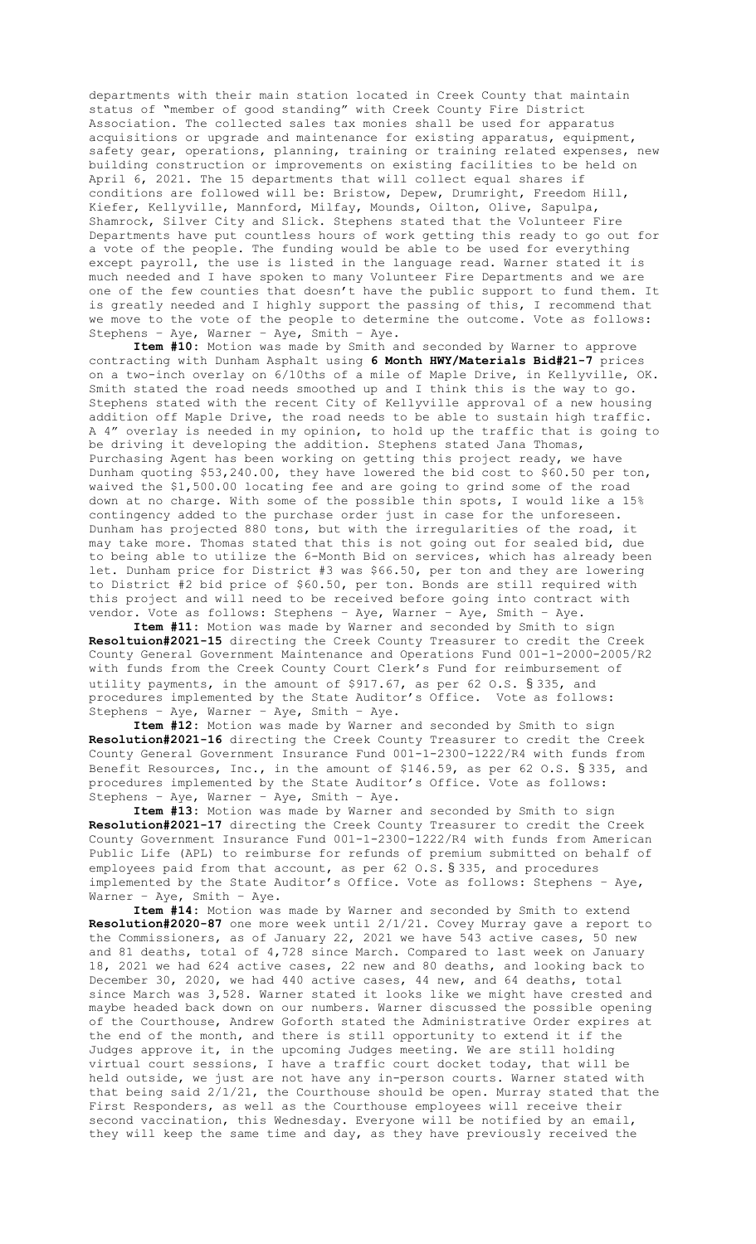departments with their main station located in Creek County that maintain status of "member of good standing" with Creek County Fire District Association. The collected sales tax monies shall be used for apparatus acquisitions or upgrade and maintenance for existing apparatus, equipment, safety gear, operations, planning, training or training related expenses, new building construction or improvements on existing facilities to be held on April 6, 2021. The 15 departments that will collect equal shares if conditions are followed will be: Bristow, Depew, Drumright, Freedom Hill, Kiefer, Kellyville, Mannford, Milfay, Mounds, Oilton, Olive, Sapulpa, Shamrock, Silver City and Slick. Stephens stated that the Volunteer Fire Departments have put countless hours of work getting this ready to go out for a vote of the people. The funding would be able to be used for everything except payroll, the use is listed in the language read. Warner stated it is much needed and I have spoken to many Volunteer Fire Departments and we are one of the few counties that doesn't have the public support to fund them. It is greatly needed and I highly support the passing of this, I recommend that we move to the vote of the people to determine the outcome. Vote as follows: Stephens – Aye, Warner – Aye, Smith – Aye.

**Item #10:** Motion was made by Smith and seconded by Warner to approve contracting with Dunham Asphalt using **6 Month HWY/Materials Bid#21-7** prices on a two-inch overlay on 6/10ths of a mile of Maple Drive, in Kellyville, OK. Smith stated the road needs smoothed up and I think this is the way to go. Stephens stated with the recent City of Kellyville approval of a new housing addition off Maple Drive, the road needs to be able to sustain high traffic. A 4" overlay is needed in my opinion, to hold up the traffic that is going to be driving it developing the addition. Stephens stated Jana Thomas, Purchasing Agent has been working on getting this project ready, we have Dunham quoting \$53,240.00, they have lowered the bid cost to \$60.50 per ton, waived the \$1,500.00 locating fee and are going to grind some of the road down at no charge. With some of the possible thin spots, I would like a 15% contingency added to the purchase order just in case for the unforeseen. Dunham has projected 880 tons, but with the irregularities of the road, it may take more. Thomas stated that this is not going out for sealed bid, due to being able to utilize the 6-Month Bid on services, which has already been let. Dunham price for District #3 was \$66.50, per ton and they are lowering to District #2 bid price of \$60.50, per ton. Bonds are still required with this project and will need to be received before going into contract with vendor. Vote as follows: Stephens – Aye, Warner – Aye, Smith – Aye.

**Item #11:** Motion was made by Warner and seconded by Smith to sign **Resoltuion#2021-15** directing the Creek County Treasurer to credit the Creek County General Government Maintenance and Operations Fund 001-1-2000-2005/R2 with funds from the Creek County Court Clerk's Fund for reimbursement of utility payments, in the amount of \$917.67, as per 62 O.S. § 335, and procedures implemented by the State Auditor's Office. Vote as follows: Stephens – Aye, Warner – Aye, Smith – Aye.

**Item #12:** Motion was made by Warner and seconded by Smith to sign **Resolution#2021-16** directing the Creek County Treasurer to credit the Creek County General Government Insurance Fund 001-1-2300-1222/R4 with funds from Benefit Resources, Inc., in the amount of \$146.59, as per 62 O.S. § 335, and procedures implemented by the State Auditor's Office. Vote as follows: Stephens – Aye, Warner – Aye, Smith – Aye.

**Item #13:** Motion was made by Warner and seconded by Smith to sign **Resolution#2021-17** directing the Creek County Treasurer to credit the Creek County Government Insurance Fund 001-1-2300-1222/R4 with funds from American Public Life (APL) to reimburse for refunds of premium submitted on behalf of employees paid from that account, as per 62 O.S. § 335, and procedures implemented by the State Auditor's Office. Vote as follows: Stephens – Aye, Warner – Aye, Smith – Aye.

**Item #14:** Motion was made by Warner and seconded by Smith to extend **Resolution#2020-87** one more week until 2/1/21. Covey Murray gave a report to the Commissioners, as of January 22, 2021 we have 543 active cases, 50 new and 81 deaths, total of 4,728 since March. Compared to last week on January 18, 2021 we had 624 active cases, 22 new and 80 deaths, and looking back to December 30, 2020, we had 440 active cases, 44 new, and 64 deaths, total since March was 3,528. Warner stated it looks like we might have crested and maybe headed back down on our numbers. Warner discussed the possible opening of the Courthouse, Andrew Goforth stated the Administrative Order expires at the end of the month, and there is still opportunity to extend it if the Judges approve it, in the upcoming Judges meeting. We are still holding virtual court sessions, I have a traffic court docket today, that will be held outside, we just are not have any in-person courts. Warner stated with that being said 2/1/21, the Courthouse should be open. Murray stated that the First Responders, as well as the Courthouse employees will receive their second vaccination, this Wednesday. Everyone will be notified by an email, they will keep the same time and day, as they have previously received the